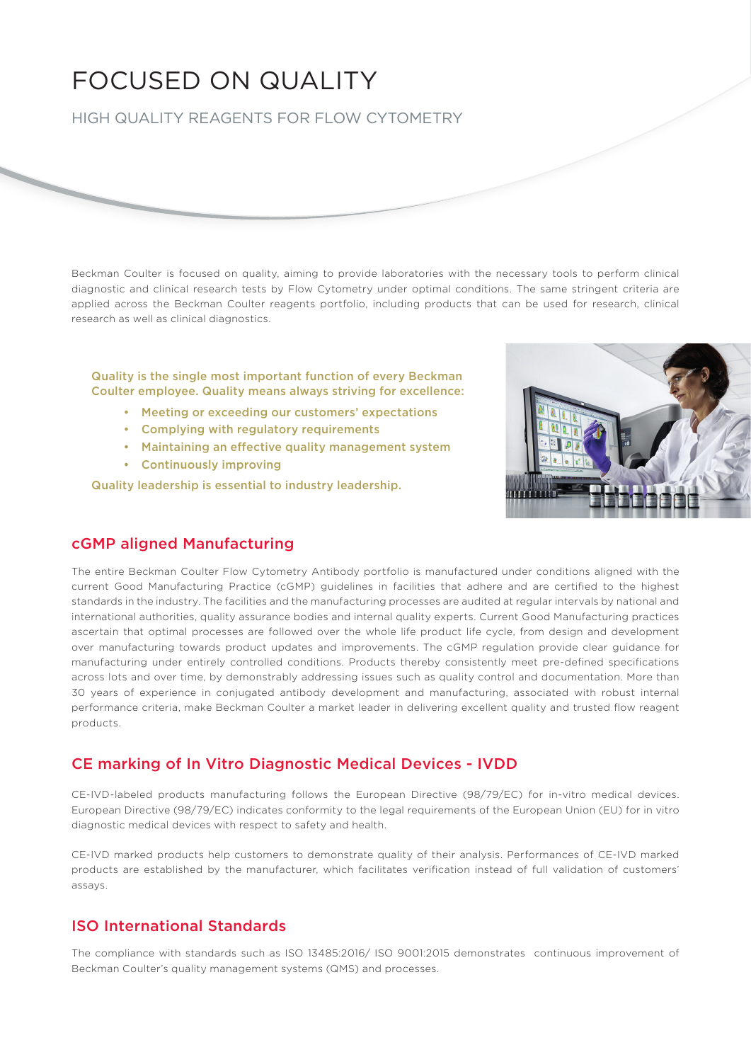# FOCUSED ON QUALITY

HIGH QUALITY REAGENTS FOR FLOW CYTOMETRY

Beckman Coulter is focused on quality, aiming to provide laboratories with the necessary tools to perform clinical diagnostic and clinical research tests by Flow Cytometry under optimal conditions. The same stringent criteria are applied across the Beckman Coulter reagents portfolio, including products that can be used for research, clinical research as well as clinical diagnostics.

Quality is the single most important function of every Beckman Coulter employee. Quality means always striving for excellence:

- Meeting or exceeding our customers' expectations
- Complying with regulatory requirements
- Maintaining an effective quality management system
- Continuously improving

Quality leadership is essential to industry leadership.



## cGMP aligned Manufacturing

The entire Beckman Coulter Flow Cytometry Antibody portfolio is manufactured under conditions aligned with the current Good Manufacturing Practice (cGMP) guidelines in facilities that adhere and are certified to the highest standards in the industry. The facilities and the manufacturing processes are audited at regular intervals by national and international authorities, quality assurance bodies and internal quality experts. Current Good Manufacturing practices ascertain that optimal processes are followed over the whole life product life cycle, from design and development over manufacturing towards product updates and improvements. The cGMP regulation provide clear guidance for manufacturing under entirely controlled conditions. Products thereby consistently meet pre-defined specifications across lots and over time, by demonstrably addressing issues such as quality control and documentation. More than 30 years of experience in conjugated antibody development and manufacturing, associated with robust internal performance criteria, make Beckman Coulter a market leader in delivering excellent quality and trusted flow reagent products.

# CE marking of In Vitro Diagnostic Medical Devices - IVDD

CE-IVD-labeled products manufacturing follows the European Directive (98/79/EC) for in-vitro medical devices. European Directive (98/79/EC) indicates conformity to the legal requirements of the European Union (EU) for in vitro diagnostic medical devices with respect to safety and health.

CE-IVD marked products help customers to demonstrate quality of their analysis. Performances of CE-IVD marked products are established by the manufacturer, which facilitates verification instead of full validation of customers' assays.

# ISO International Standards

The compliance with standards such as ISO 13485:2016/ ISO 9001:2015 demonstrates continuous improvement of Beckman Coulter's quality management systems (QMS) and processes.